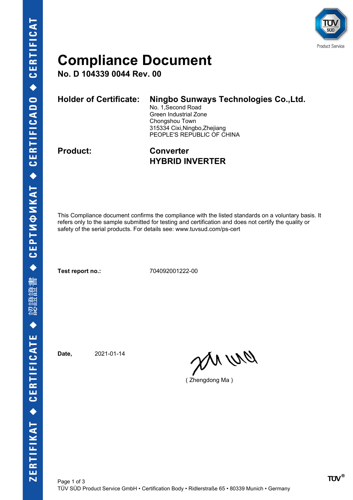

### **Compliance Document**

**No. D 104339 0044 Rev. 00**

| <b>Holder of Certificate:</b> | Ningbo Sunways Technologies Co., Ltd. |  |  |
|-------------------------------|---------------------------------------|--|--|
|                               | No. 1, Second Road                    |  |  |
|                               | Green Industrial Zone                 |  |  |
|                               | Chongshou Town                        |  |  |
|                               | 315334 Cixi, Ningbo, Zhejiang         |  |  |
|                               | PEOPLE'S REPUBLIC OF CHINA            |  |  |
|                               |                                       |  |  |

**Product: Converter HYBRID INVERTER**

This Compliance document confirms the compliance with the listed standards on a voluntary basis. It refers only to the sample submitted for testing and certification and does not certify the quality or safety of the serial products. For details see: www.tuvsud.com/ps-cert

**Test report no.:** 704092001222-00

**Date,** 2021-01-14

ON WO

( Zhengdong Ma )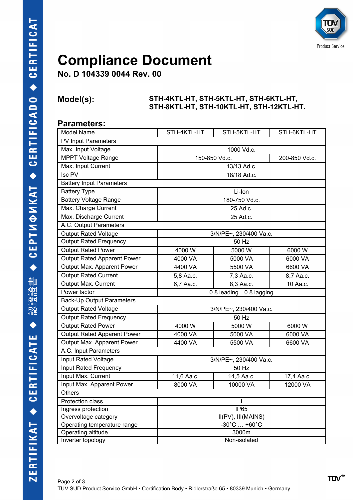

## **Compliance Document**

**No. D 104339 0044 Rev. 00**

#### **Model(s): STH-4KTL-HT, STH-5KTL-HT, STH-6KTL-HT, STH-8KTL-HT, STH-10KTL-HT, STH-12KTL-HT.**

#### **Parameters:**

| Model Name                       | STH-4KTL-HT                                                    | STH-5KTL-HT | STH-6KTL-HT |  |  |  |
|----------------------------------|----------------------------------------------------------------|-------------|-------------|--|--|--|
| PV Input Parameters              |                                                                |             |             |  |  |  |
| Max. Input Voltage               | 1000 Vd.c.                                                     |             |             |  |  |  |
| <b>MPPT Voltage Range</b>        | 150-850 Vd.c.<br>200-850 Vd.c.                                 |             |             |  |  |  |
| Max. Input Current               | 13/13 Ad.c.                                                    |             |             |  |  |  |
| $\overline{\text{Isc PV}}$       | 18/18 Ad.c.                                                    |             |             |  |  |  |
| <b>Battery Input Parameters</b>  |                                                                |             |             |  |  |  |
| <b>Battery Type</b>              | Li-Ion                                                         |             |             |  |  |  |
| <b>Battery Voltage Range</b>     | 180-750 Vd.c.                                                  |             |             |  |  |  |
| Max. Charge Current              | 25 Ad.c.                                                       |             |             |  |  |  |
| Max. Discharge Current           | 25 Ad.c.                                                       |             |             |  |  |  |
| A.C. Output Parameters           |                                                                |             |             |  |  |  |
| <b>Output Rated Voltage</b>      | 3/N/PE~, 230/400 Va.c.                                         |             |             |  |  |  |
| <b>Output Rated Frequency</b>    | 50 Hz                                                          |             |             |  |  |  |
| <b>Output Rated Power</b>        | 4000 W                                                         | 5000 W      | 6000 W      |  |  |  |
| Output Rated Apparent Power      | 4000 VA                                                        | 5000 VA     | 6000 VA     |  |  |  |
| Output Max. Apparent Power       | 4400 VA                                                        | 5500 VA     | 6600 VA     |  |  |  |
| Output Rated Current             | 5,8 Aa.c.                                                      | 7,3 Aa.c.   | 8,7 Aa.c.   |  |  |  |
| Output Max. Current              | 6,7 Aa.c.                                                      | 8,3 Aa.c.   | 10 Aa.c.    |  |  |  |
| Power factor                     | 0.8 leading0.8 lagging                                         |             |             |  |  |  |
| <b>Back-Up Output Parameters</b> |                                                                |             |             |  |  |  |
| Output Rated Voltage             | 3/N/PE~, 230/400 Va.c.                                         |             |             |  |  |  |
| <b>Output Rated Frequency</b>    | 50 Hz                                                          |             |             |  |  |  |
| <b>Output Rated Power</b>        | 4000 W                                                         | 5000 W      | 6000 W      |  |  |  |
| Output Rated Apparent Power      | 4000 VA                                                        | 5000 VA     | 6000 VA     |  |  |  |
| Output Max. Apparent Power       | 4400 VA                                                        | 5500 VA     | 6600 VA     |  |  |  |
| A.C. Input Parameters            |                                                                |             |             |  |  |  |
| <b>Input Rated Voltage</b>       | 3/N/PE~, 230/400 Va.c.                                         |             |             |  |  |  |
| <b>Input Rated Frequency</b>     | 50 Hz                                                          |             |             |  |  |  |
| Input Max. Current               | 11,6 Aa.c.                                                     | 14,5 Aa.c.  | 17,4 Aa.c.  |  |  |  |
| Input Max. Apparent Power        | 8000 VA                                                        | 10000 VA    | 12000 VA    |  |  |  |
| Others                           |                                                                |             |             |  |  |  |
| Protection class                 |                                                                |             |             |  |  |  |
| Ingress protection               | <b>IP65</b>                                                    |             |             |  |  |  |
| Overvoltage category             | $\overline{\text{II}}(\text{PV})$ , $\text{III}(\text{MAINS})$ |             |             |  |  |  |
| Operating temperature range      | $-30^{\circ}$ C $+60^{\circ}$ C                                |             |             |  |  |  |
| Operating altitude               | 3000m                                                          |             |             |  |  |  |
| Inverter topology                | Non-isolated                                                   |             |             |  |  |  |